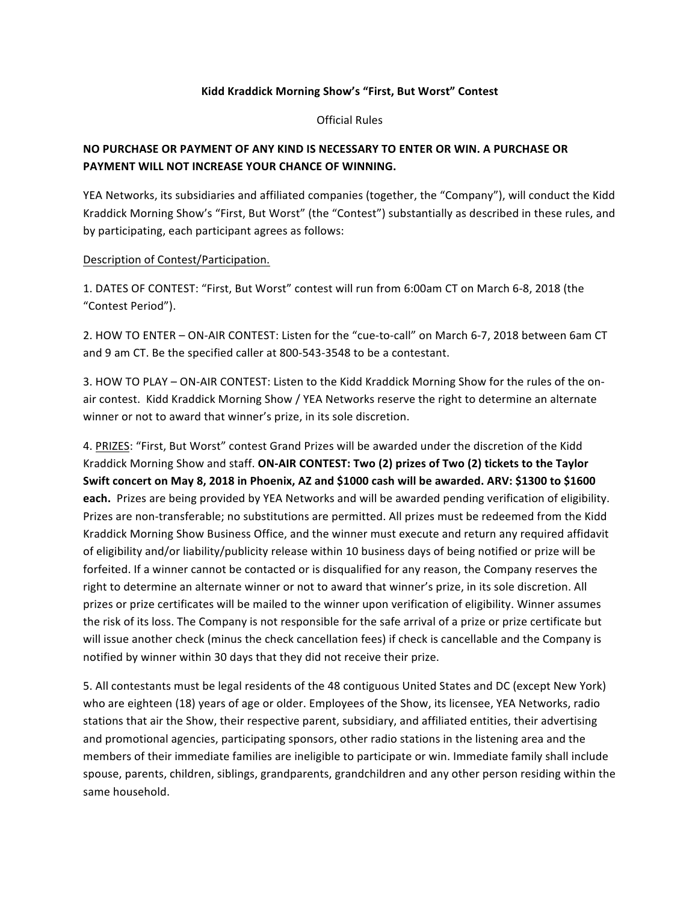## Kidd Kraddick Morning Show's "First, But Worst" Contest

Official Rules

## **NO PURCHASE OR PAYMENT OF ANY KIND IS NECESSARY TO ENTER OR WIN. A PURCHASE OR** PAYMENT WILL NOT INCREASE YOUR CHANCE OF WINNING.

YEA Networks, its subsidiaries and affiliated companies (together, the "Company"), will conduct the Kidd Kraddick Morning Show's "First, But Worst" (the "Contest") substantially as described in these rules, and by participating, each participant agrees as follows:

## Description of Contest/Participation.

1. DATES OF CONTEST: "First, But Worst" contest will run from 6:00am CT on March 6-8, 2018 (the "Contest Period").

2. HOW TO ENTER - ON-AIR CONTEST: Listen for the "cue-to-call" on March 6-7, 2018 between 6am CT and 9 am CT. Be the specified caller at 800-543-3548 to be a contestant.

3. HOW TO PLAY – ON-AIR CONTEST: Listen to the Kidd Kraddick Morning Show for the rules of the onair contest. Kidd Kraddick Morning Show / YEA Networks reserve the right to determine an alternate winner or not to award that winner's prize, in its sole discretion.

4. PRIZES: "First, But Worst" contest Grand Prizes will be awarded under the discretion of the Kidd Kraddick Morning Show and staff. **ON-AIR CONTEST: Two (2) prizes of Two (2) tickets to the Taylor Swift concert on May 8, 2018 in Phoenix, AZ and \$1000 cash will be awarded. ARV: \$1300 to \$1600** each. Prizes are being provided by YEA Networks and will be awarded pending verification of eligibility. Prizes are non-transferable; no substitutions are permitted. All prizes must be redeemed from the Kidd Kraddick Morning Show Business Office, and the winner must execute and return any required affidavit of eligibility and/or liability/publicity release within 10 business days of being notified or prize will be forfeited. If a winner cannot be contacted or is disqualified for any reason, the Company reserves the right to determine an alternate winner or not to award that winner's prize, in its sole discretion. All prizes or prize certificates will be mailed to the winner upon verification of eligibility. Winner assumes the risk of its loss. The Company is not responsible for the safe arrival of a prize or prize certificate but will issue another check (minus the check cancellation fees) if check is cancellable and the Company is notified by winner within 30 days that they did not receive their prize.

5. All contestants must be legal residents of the 48 contiguous United States and DC (except New York) who are eighteen (18) years of age or older. Employees of the Show, its licensee, YEA Networks, radio stations that air the Show, their respective parent, subsidiary, and affiliated entities, their advertising and promotional agencies, participating sponsors, other radio stations in the listening area and the members of their immediate families are ineligible to participate or win. Immediate family shall include spouse, parents, children, siblings, grandparents, grandchildren and any other person residing within the same household.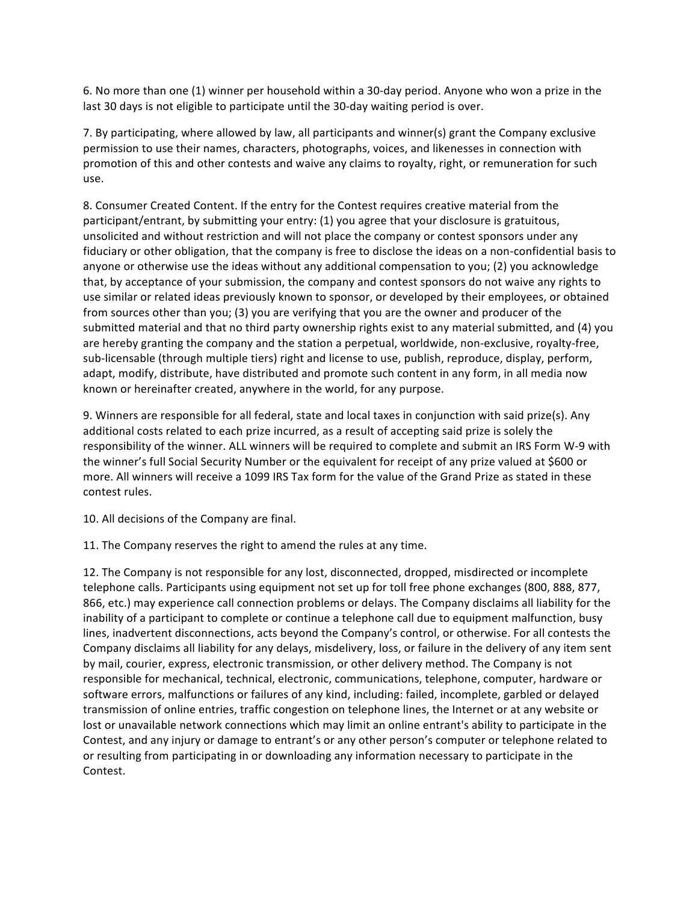6. No more than one (1) winner per household within a 30-day period. Anyone who won a prize in the last 30 days is not eligible to participate until the 30-day waiting period is over.

7. By participating, where allowed by law, all participants and winner(s) grant the Company exclusive permission to use their names, characters, photographs, voices, and likenesses in connection with promotion of this and other contests and waive any claims to royalty, right, or remuneration for such use.

8. Consumer Created Content. If the entry for the Contest requires creative material from the participant/entrant, by submitting your entry: (1) you agree that your disclosure is gratuitous, unsolicited and without restriction and will not place the company or contest sponsors under any fiduciary or other obligation, that the company is free to disclose the ideas on a non-confidential basis to anyone or otherwise use the ideas without any additional compensation to you; (2) you acknowledge that, by acceptance of your submission, the company and contest sponsors do not waive any rights to use similar or related ideas previously known to sponsor, or developed by their employees, or obtained from sources other than you; (3) you are verifying that you are the owner and producer of the submitted material and that no third party ownership rights exist to any material submitted, and (4) you are hereby granting the company and the station a perpetual, worldwide, non-exclusive, royalty-free, sub-licensable (through multiple tiers) right and license to use, publish, reproduce, display, perform, adapt, modify, distribute, have distributed and promote such content in any form, in all media now known or hereinafter created, anywhere in the world, for any purpose.

9. Winners are responsible for all federal, state and local taxes in conjunction with said prize(s). Any additional costs related to each prize incurred, as a result of accepting said prize is solely the responsibility of the winner. ALL winners will be required to complete and submit an IRS Form W-9 with the winner's full Social Security Number or the equivalent for receipt of any prize valued at \$600 or more. All winners will receive a 1099 IRS Tax form for the value of the Grand Prize as stated in these contest rules.

10. All decisions of the Company are final.

11. The Company reserves the right to amend the rules at any time.

12. The Company is not responsible for any lost, disconnected, dropped, misdirected or incomplete telephone calls. Participants using equipment not set up for toll free phone exchanges (800, 888, 877, 866, etc.) may experience call connection problems or delays. The Company disclaims all liability for the inability of a participant to complete or continue a telephone call due to equipment malfunction, busy lines, inadvertent disconnections, acts beyond the Company's control, or otherwise. For all contests the Company disclaims all liability for any delays, misdelivery, loss, or failure in the delivery of any item sent by mail, courier, express, electronic transmission, or other delivery method. The Company is not responsible for mechanical, technical, electronic, communications, telephone, computer, hardware or software errors, malfunctions or failures of any kind, including: failed, incomplete, garbled or delayed transmission of online entries, traffic congestion on telephone lines, the Internet or at any website or lost or unavailable network connections which may limit an online entrant's ability to participate in the Contest, and any injury or damage to entrant's or any other person's computer or telephone related to or resulting from participating in or downloading any information necessary to participate in the Contest.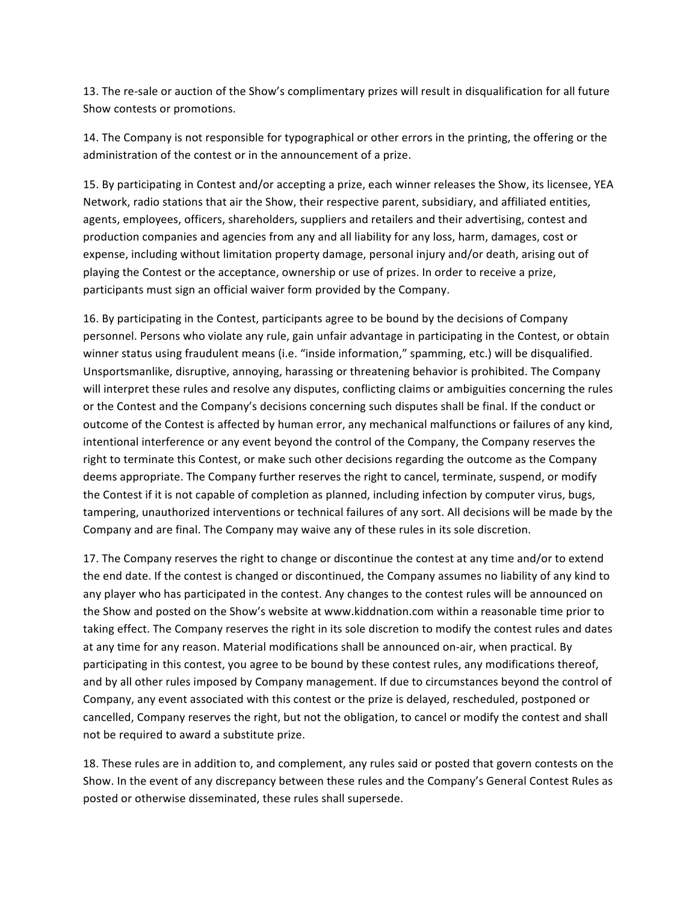13. The re-sale or auction of the Show's complimentary prizes will result in disqualification for all future Show contests or promotions.

14. The Company is not responsible for typographical or other errors in the printing, the offering or the administration of the contest or in the announcement of a prize.

15. By participating in Contest and/or accepting a prize, each winner releases the Show, its licensee, YEA Network, radio stations that air the Show, their respective parent, subsidiary, and affiliated entities, agents, employees, officers, shareholders, suppliers and retailers and their advertising, contest and production companies and agencies from any and all liability for any loss, harm, damages, cost or expense, including without limitation property damage, personal injury and/or death, arising out of playing the Contest or the acceptance, ownership or use of prizes. In order to receive a prize, participants must sign an official waiver form provided by the Company.

16. By participating in the Contest, participants agree to be bound by the decisions of Company personnel. Persons who violate any rule, gain unfair advantage in participating in the Contest, or obtain winner status using fraudulent means (i.e. "inside information," spamming, etc.) will be disqualified. Unsportsmanlike, disruptive, annoying, harassing or threatening behavior is prohibited. The Company will interpret these rules and resolve any disputes, conflicting claims or ambiguities concerning the rules or the Contest and the Company's decisions concerning such disputes shall be final. If the conduct or outcome of the Contest is affected by human error, any mechanical malfunctions or failures of any kind, intentional interference or any event beyond the control of the Company, the Company reserves the right to terminate this Contest, or make such other decisions regarding the outcome as the Company deems appropriate. The Company further reserves the right to cancel, terminate, suspend, or modify the Contest if it is not capable of completion as planned, including infection by computer virus, bugs, tampering, unauthorized interventions or technical failures of any sort. All decisions will be made by the Company and are final. The Company may waive any of these rules in its sole discretion.

17. The Company reserves the right to change or discontinue the contest at any time and/or to extend the end date. If the contest is changed or discontinued, the Company assumes no liability of any kind to any player who has participated in the contest. Any changes to the contest rules will be announced on the Show and posted on the Show's website at www.kiddnation.com within a reasonable time prior to taking effect. The Company reserves the right in its sole discretion to modify the contest rules and dates at any time for any reason. Material modifications shall be announced on-air, when practical. By participating in this contest, you agree to be bound by these contest rules, any modifications thereof, and by all other rules imposed by Company management. If due to circumstances beyond the control of Company, any event associated with this contest or the prize is delayed, rescheduled, postponed or cancelled, Company reserves the right, but not the obligation, to cancel or modify the contest and shall not be required to award a substitute prize.

18. These rules are in addition to, and complement, any rules said or posted that govern contests on the Show. In the event of any discrepancy between these rules and the Company's General Contest Rules as posted or otherwise disseminated, these rules shall supersede.